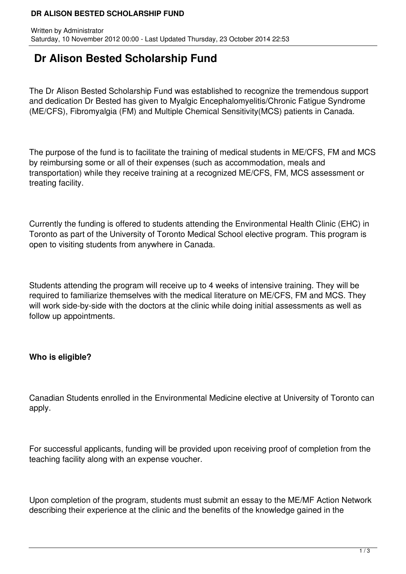#### **DR ALISON BESTED SCHOLARSHIP FUND**

# **Dr Alison Bested Scholarship Fund**

The Dr Alison Bested Scholarship Fund was established to recognize the tremendous support and dedication Dr Bested has given to Myalgic Encephalomyelitis/Chronic Fatigue Syndrome (ME/CFS), Fibromyalgia (FM) and Multiple Chemical Sensitivity(MCS) patients in Canada.

The purpose of the fund is to facilitate the training of medical students in ME/CFS, FM and MCS by reimbursing some or all of their expenses (such as accommodation, meals and transportation) while they receive training at a recognized ME/CFS, FM, MCS assessment or treating facility.

Currently the funding is offered to students attending the Environmental Health Clinic (EHC) in Toronto as part of the University of Toronto Medical School elective program. This program is open to visiting students from anywhere in Canada.

Students attending the program will receive up to 4 weeks of intensive training. They will be required to familiarize themselves with the medical literature on ME/CFS, FM and MCS. They will work side-by-side with the doctors at the clinic while doing initial assessments as well as follow up appointments.

# **Who is eligible?**

Canadian Students enrolled in the Environmental Medicine elective at University of Toronto can apply.

For successful applicants, funding will be provided upon receiving proof of completion from the teaching facility along with an expense voucher.

Upon completion of the program, students must submit an essay to the ME/MF Action Network describing their experience at the clinic and the benefits of the knowledge gained in the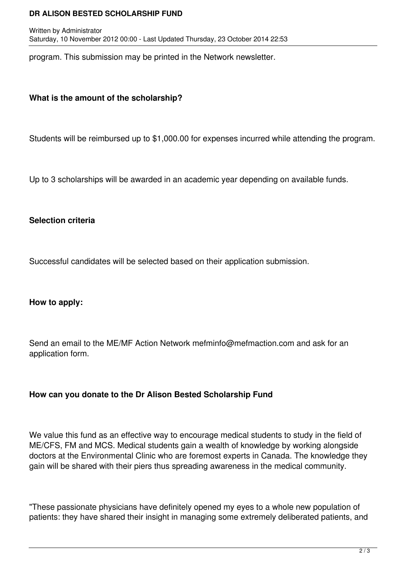#### **DR ALISON BESTED SCHOLARSHIP FUND**

program. This submission may be printed in the Network newsletter.

## **What is the amount of the scholarship?**

Students will be reimbursed up to \$1,000.00 for expenses incurred while attending the program.

Up to 3 scholarships will be awarded in an academic year depending on available funds.

## **Selection criteria**

Successful candidates will be selected based on their application submission.

#### **How to apply:**

Send an email to the ME/MF Action Network mefminfo@mefmaction.com and ask for an application form.

#### **How can you donate to the Dr Alison Bested Scholarship Fund**

We value this fund as an effective way to encourage medical students to study in the field of ME/CFS, FM and MCS. Medical students gain a wealth of knowledge by working alongside doctors at the Environmental Clinic who are foremost experts in Canada. The knowledge they gain will be shared with their piers thus spreading awareness in the medical community.

"These passionate physicians have definitely opened my eyes to a whole new population of patients: they have shared their insight in managing some extremely deliberated patients, and